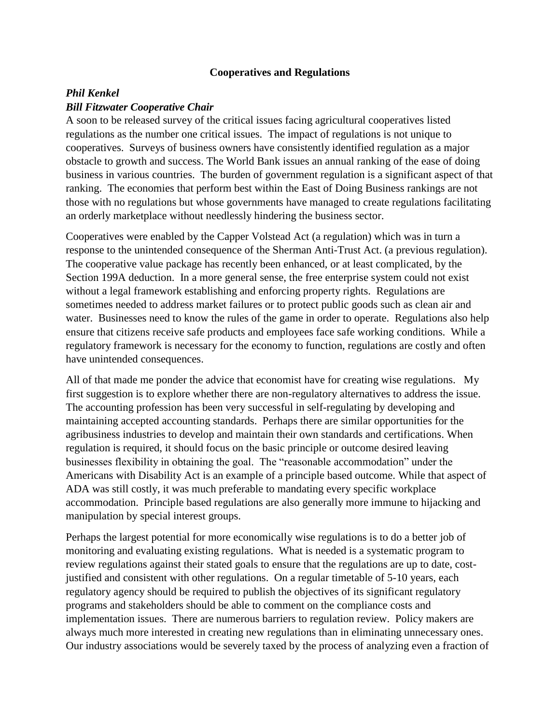## **Cooperatives and Regulations**

## *Phil Kenkel Bill Fitzwater Cooperative Chair*

A soon to be released survey of the critical issues facing agricultural cooperatives listed regulations as the number one critical issues. The impact of regulations is not unique to cooperatives. Surveys of business owners have consistently identified regulation as a major obstacle to growth and success. The World Bank issues an annual ranking of the ease of doing business in various countries. The burden of government regulation is a significant aspect of that ranking. The economies that perform best within the East of Doing Business rankings are not those with no regulations but whose governments have managed to create regulations facilitating an orderly marketplace without needlessly hindering the business sector.

Cooperatives were enabled by the Capper Volstead Act (a regulation) which was in turn a response to the unintended consequence of the Sherman Anti-Trust Act. (a previous regulation). The cooperative value package has recently been enhanced, or at least complicated, by the Section 199A deduction. In a more general sense, the free enterprise system could not exist without a legal framework establishing and enforcing property rights. Regulations are sometimes needed to address market failures or to protect public goods such as clean air and water. Businesses need to know the rules of the game in order to operate. Regulations also help ensure that citizens receive safe products and employees face safe working conditions. While a regulatory framework is necessary for the economy to function, regulations are costly and often have unintended consequences.

All of that made me ponder the advice that economist have for creating wise regulations. My first suggestion is to explore whether there are non-regulatory alternatives to address the issue. The accounting profession has been very successful in self-regulating by developing and maintaining accepted accounting standards. Perhaps there are similar opportunities for the agribusiness industries to develop and maintain their own standards and certifications. When regulation is required, it should focus on the basic principle or outcome desired leaving businesses flexibility in obtaining the goal. The "reasonable accommodation" under the Americans with Disability Act is an example of a principle based outcome. While that aspect of ADA was still costly, it was much preferable to mandating every specific workplace accommodation. Principle based regulations are also generally more immune to hijacking and manipulation by special interest groups.

Perhaps the largest potential for more economically wise regulations is to do a better job of monitoring and evaluating existing regulations. What is needed is a systematic program to review regulations against their stated goals to ensure that the regulations are up to date, costjustified and consistent with other regulations. On a regular timetable of 5-10 years, each regulatory agency should be required to publish the objectives of its significant regulatory programs and stakeholders should be able to comment on the compliance costs and implementation issues. There are numerous barriers to regulation review. Policy makers are always much more interested in creating new regulations than in eliminating unnecessary ones. Our industry associations would be severely taxed by the process of analyzing even a fraction of